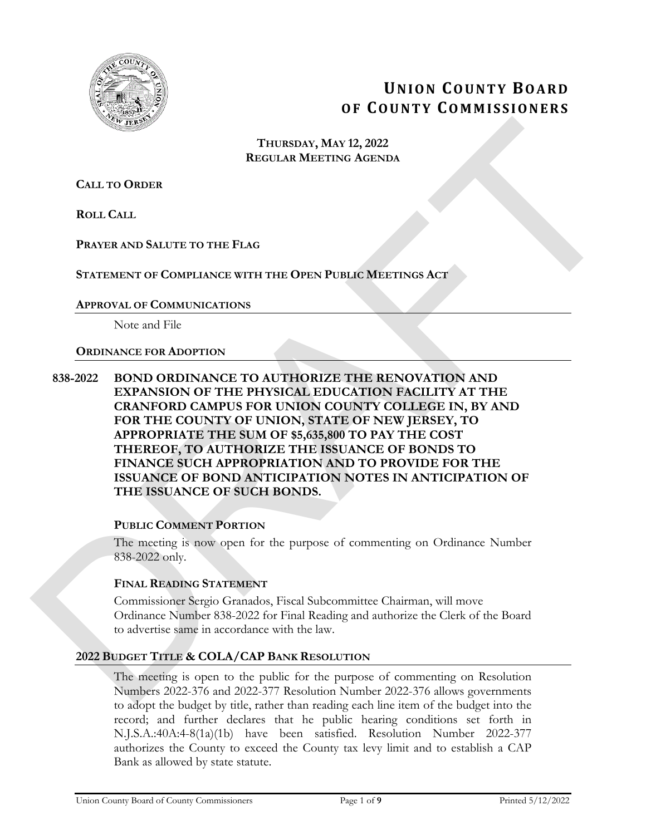

# **UNION COUNTY BOARD OF COUNTY COMMISSIONERS**

#### **THURSDAY, MAY 12, 2022 REGULAR MEETING AGENDA**

**CALL TO ORDER**

**ROLL CALL**

**PRAYER AND SALUTE TO THE FLAG**

# **STATEMENT OF COMPLIANCE WITH THE OPEN PUBLIC MEETINGS ACT**

# **APPROVAL OF COMMUNICATIONS**

Note and File

# **ORDINANCE FOR ADOPTION**

# **838-2022 BOND ORDINANCE TO AUTHORIZE THE RENOVATION AND EXPANSION OF THE PHYSICAL EDUCATION FACILITY AT THE CRANFORD CAMPUS FOR UNION COUNTY COLLEGE IN, BY AND FOR THE COUNTY OF UNION, STATE OF NEW JERSEY, TO APPROPRIATE THE SUM OF \$5,635,800 TO PAY THE COST THEREOF, TO AUTHORIZE THE ISSUANCE OF BONDS TO FINANCE SUCH APPROPRIATION AND TO PROVIDE FOR THE ISSUANCE OF BOND ANTICIPATION NOTES IN ANTICIPATION OF THE ISSUANCE OF SUCH BONDS.**  THURSDAY, MAY 12, 2022<br>
REGULAR MERTING dGENDA<br>
ROLL CALL TO ORDER<br>
ROLL CALL<br>
PRAYER AND SALUTE TO THE FLAG<br>
SEYVENING OF CONFULNCE WITH THE OPEN PUBLIC MERTINGS ACT<br>
APPROVAL OF CONFULNCE TO ATTEND THE PRESSURE TO THE CO

# **PUBLIC COMMENT PORTION**

The meeting is now open for the purpose of commenting on Ordinance Number 838-2022 only.

# **FINAL READING STATEMENT**

Commissioner Sergio Granados, Fiscal Subcommittee Chairman, will move Ordinance Number 838-2022 for Final Reading and authorize the Clerk of the Board to advertise same in accordance with the law.

# **2022 BUDGET TITLE & COLA/CAP BANK RESOLUTION**

The meeting is open to the public for the purpose of commenting on Resolution Numbers 2022-376 and 2022-377 Resolution Number 2022-376 allows governments to adopt the budget by title, rather than reading each line item of the budget into the record; and further declares that he public hearing conditions set forth in N.J.S.A.:40A:4-8(1a)(1b) have been satisfied. Resolution Number 2022-377 authorizes the County to exceed the County tax levy limit and to establish a CAP Bank as allowed by state statute.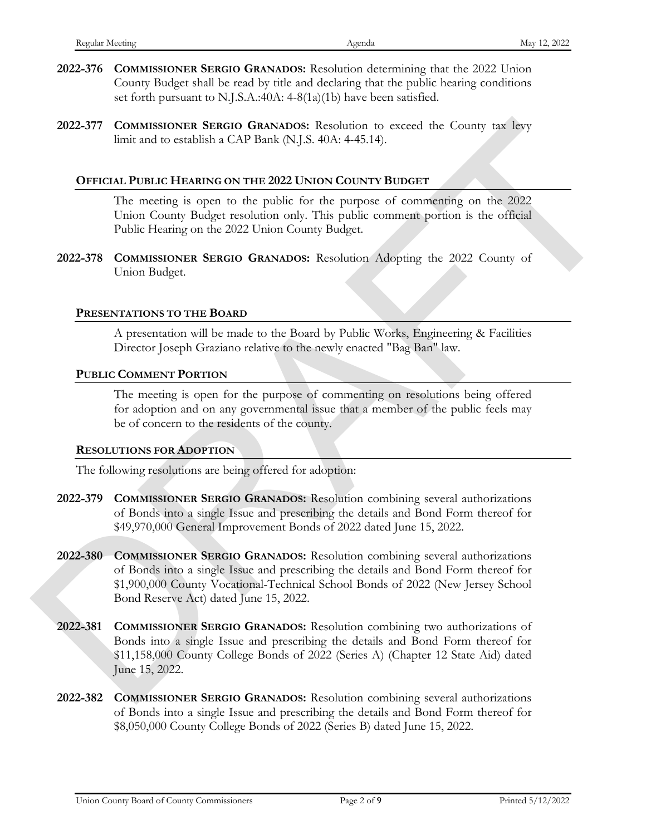- **2022-376 COMMISSIONER SERGIO GRANADOS:** Resolution determining that the 2022 Union County Budget shall be read by title and declaring that the public hearing conditions set forth pursuant to N.J.S.A.:40A: 4-8(1a)(1b) have been satisfied.
- **2022-377 COMMISSIONER SERGIO GRANADOS:** Resolution to exceed the County tax levy limit and to establish a CAP Bank (N.J.S. 40A: 4-45.14).

#### **OFFICIAL PUBLIC HEARING ON THE 2022 UNION COUNTY BUDGET**

The meeting is open to the public for the purpose of commenting on the 2022 Union County Budget resolution only. This public comment portion is the official Public Hearing on the 2022 Union County Budget.

**2022-378 COMMISSIONER SERGIO GRANADOS:** Resolution Adopting the 2022 County of Union Budget.

#### **PRESENTATIONS TO THE BOARD**

A presentation will be made to the Board by Public Works, Engineering & Facilities Director Joseph Graziano relative to the newly enacted "Bag Ban" law.

#### **PUBLIC COMMENT PORTION**

The meeting is open for the purpose of commenting on resolutions being offered for adoption and on any governmental issue that a member of the public feels may be of concern to the residents of the county.

#### **RESOLUTIONS FOR ADOPTION**

The following resolutions are being offered for adoption:

- **2022-379 COMMISSIONER SERGIO GRANADOS:** Resolution combining several authorizations of Bonds into a single Issue and prescribing the details and Bond Form thereof for \$49,970,000 General Improvement Bonds of 2022 dated June 15, 2022.
- **2022-380 COMMISSIONER SERGIO GRANADOS:** Resolution combining several authorizations of Bonds into a single Issue and prescribing the details and Bond Form thereof for \$1,900,000 County Vocational-Technical School Bonds of 2022 (New Jersey School Bond Reserve Act) dated June 15, 2022. 2022-377 COMMISSONER SERIOD GRANADOS Resolution to exced the County tax lays<br>
DIFFICIAL PUBLIC HEARING ON PHE POLIS AGA CONSTRUCTED<br>
The meeting is open to the public for the purpose of commenting on the 2022<br>
Union Count
	- **2022-381 COMMISSIONER SERGIO GRANADOS:** Resolution combining two authorizations of Bonds into a single Issue and prescribing the details and Bond Form thereof for \$11,158,000 County College Bonds of 2022 (Series A) (Chapter 12 State Aid) dated June 15, 2022.
	- **2022-382 COMMISSIONER SERGIO GRANADOS:** Resolution combining several authorizations of Bonds into a single Issue and prescribing the details and Bond Form thereof for \$8,050,000 County College Bonds of 2022 (Series B) dated June 15, 2022.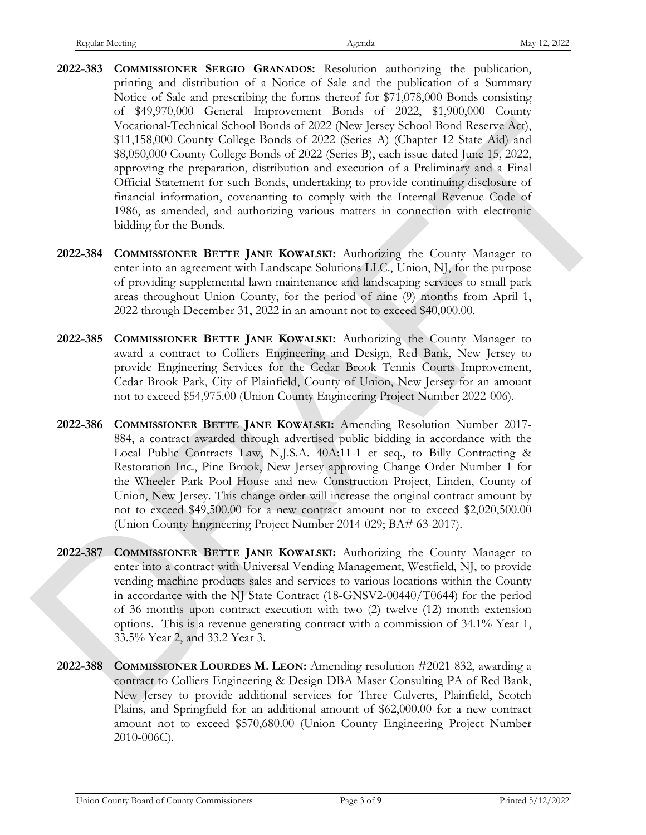- **2022-383 COMMISSIONER SERGIO GRANADOS:** Resolution authorizing the publication, printing and distribution of a Notice of Sale and the publication of a Summary Notice of Sale and prescribing the forms thereof for \$71,078,000 Bonds consisting of \$49,970,000 General Improvement Bonds of 2022, \$1,900,000 County Vocational-Technical School Bonds of 2022 (New Jersey School Bond Reserve Act), \$11,158,000 County College Bonds of 2022 (Series A) (Chapter 12 State Aid) and \$8,050,000 County College Bonds of 2022 (Series B), each issue dated June 15, 2022, approving the preparation, distribution and execution of a Preliminary and a Final Official Statement for such Bonds, undertaking to provide continuing disclosure of financial information, covenanting to comply with the Internal Revenue Code of 1986, as amended, and authorizing various matters in connection with electronic bidding for the Bonds. Vocation Lietincial School for<br>also 10 and of 2022 (Secte A) (Using the Secter A) (2013)<br>
Variation Comp College Boads of 2022 (Secte A) (Using the School for<br>also 850%)<br>
Wall Comp College Boads of 2022 (Secte A) (Using t
	- **2022-384 COMMISSIONER BETTE JANE KOWALSKI:** Authorizing the County Manager to enter into an agreement with Landscape Solutions LLC., Union, NJ, for the purpose of providing supplemental lawn maintenance and landscaping services to small park areas throughout Union County, for the period of nine (9) months from April 1, 2022 through December 31, 2022 in an amount not to exceed \$40,000.00.
	- **2022-385 COMMISSIONER BETTE JANE KOWALSKI:** Authorizing the County Manager to award a contract to Colliers Engineering and Design, Red Bank, New Jersey to provide Engineering Services for the Cedar Brook Tennis Courts Improvement, Cedar Brook Park, City of Plainfield, County of Union, New Jersey for an amount not to exceed \$54,975.00 (Union County Engineering Project Number 2022-006).
	- **2022-386 COMMISSIONER BETTE JANE KOWALSKI:** Amending Resolution Number 2017- 884, a contract awarded through advertised public bidding in accordance with the Local Public Contracts Law, N,J.S.A. 40A:11-1 et seq., to Billy Contracting & Restoration Inc., Pine Brook, New Jersey approving Change Order Number 1 for the Wheeler Park Pool House and new Construction Project, Linden, County of Union, New Jersey. This change order will increase the original contract amount by not to exceed \$49,500.00 for a new contract amount not to exceed \$2,020,500.00 (Union County Engineering Project Number 2014-029; BA# 63-2017).
	- **2022-387 COMMISSIONER BETTE JANE KOWALSKI:** Authorizing the County Manager to enter into a contract with Universal Vending Management, Westfield, NJ, to provide vending machine products sales and services to various locations within the County in accordance with the NJ State Contract (18-GNSV2-00440/T0644) for the period of 36 months upon contract execution with two (2) twelve (12) month extension options. This is a revenue generating contract with a commission of 34.1% Year 1, 33.5% Year 2, and 33.2 Year 3.
	- **2022-388 COMMISSIONER LOURDES M. LEON:** Amending resolution #2021-832, awarding a contract to Colliers Engineering & Design DBA Maser Consulting PA of Red Bank, New Jersey to provide additional services for Three Culverts, Plainfield, Scotch Plains, and Springfield for an additional amount of \$62,000.00 for a new contract amount not to exceed \$570,680.00 (Union County Engineering Project Number 2010 -006C).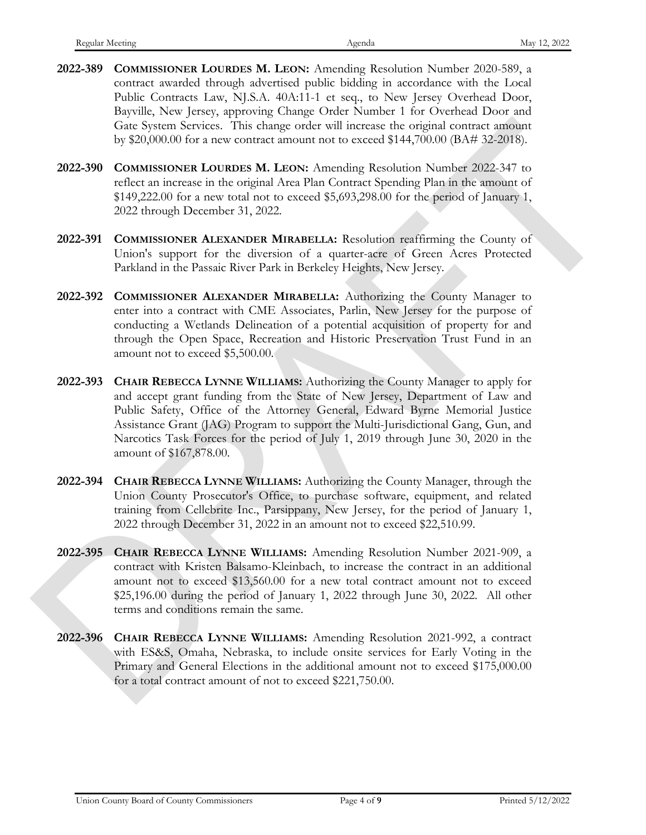- **2022-389 COMMISSIONER LOURDES M. LEON:** Amending Resolution Number 2020-589, a contract awarded through advertised public bidding in accordance with the Local Public Contracts Law, NJ.S.A. 40A:11-1 et seq., to New Jersey Overhead Door, Bayville, New Jersey, approving Change Order Number 1 for Overhead Door and Gate System Services. This change order will increase the original contract amount by \$20,000.00 for a new contract amount not to exceed \$144,700.00 (BA# 32-2018).
- **2022-390 COMMISSIONER LOURDES M. LEON:** Amending Resolution Number 2022-347 to reflect an increase in the original Area Plan Contract Spending Plan in the amount of \$149,222.00 for a new total not to exceed \$5,693,298.00 for the period of January 1, 2022 through December 31, 2022.
- **2022-391 COMMISSIONER ALEXANDER MIRABELLA:** Resolution reaffirming the County of Union's support for the diversion of a quarter-acre of Green Acres Protected Parkland in the Passaic River Park in Berkeley Heights, New Jersey.
- **2022-392 COMMISSIONER ALEXANDER MIRABELLA:** Authorizing the County Manager to enter into a contract with CME Associates, Parlin, New Jersey for the purpose of conducting a Wetlands Delineation of a potential acquisition of property for and through the Open Space, Recreation and Historic Preservation Trust Fund in an amount not to exceed \$5,500.00.
- **2022-393 CHAIR REBECCA LYNNE WILLIAMS:** Authorizing the County Manager to apply for and accept grant funding from the State of New Jersey, Department of Law and Public Safety, Office of the Attorney General, Edward Byrne Memorial Justice Assistance Grant (JAG) Program to support the Multi-Jurisdictional Gang, Gun, and Narcotics Task Forces for the period of July 1, 2019 through June 30, 2020 in the amount of \$167,878.00. Gate System Services. This change cost will increase the original control measure by the \$20,000 Great was counter amount not to occur all \$14,700.00 (AM 32,2015).<br>
2022-390 COMMISSIONER LOUDDES M. LEON: Amendang Resoluti
	- **2022-394 CHAIR REBECCA LYNNE WILLIAMS:** Authorizing the County Manager, through the Union County Prosecutor's Office, to purchase software, equipment, and related training from Cellebrite Inc., Parsippany, New Jersey, for the period of January 1, 2022 through December 31, 2022 in an amount not to exceed \$22,510.99.
	- **2022-395 CHAIR REBECCA LYNNE WILLIAMS:** Amending Resolution Number 2021-909, a contract with Kristen Balsamo-Kleinbach, to increase the contract in an additional amount not to exceed \$13,560.00 for a new total contract amount not to exceed \$25,196.00 during the period of January 1, 2022 through June 30, 2022. All other terms and conditions remain the same.
	- **2022-396 CHAIR REBECCA LYNNE WILLIAMS:** Amending Resolution 2021-992, a contract with ES&S, Omaha, Nebraska, to include onsite services for Early Voting in the Primary and General Elections in the additional amount not to exceed \$175,000.00 for a total contract amount of not to exceed \$221,750.00.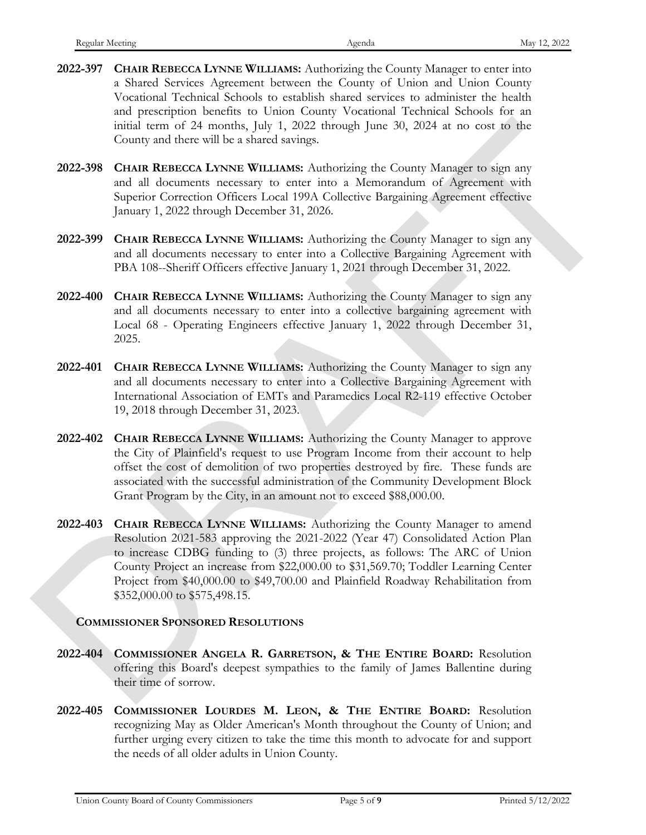- **2022-397 CHAIR REBECCA LYNNE WILLIAMS:** Authorizing the County Manager to enter into a Shared Services Agreement between the County of Union and Union County Vocational Technical Schools to establish shared services to administer the health and prescription benefits to Union County Vocational Technical Schools for an initial term of 24 months, July 1, 2022 through June 30, 2024 at no cost to the County and there will be a shared savings.
- **2022-398 CHAIR REBECCA LYNNE WILLIAMS:** Authorizing the County Manager to sign any and all documents necessary to enter into a Memorandum of Agreement with Superior Correction Officers Local 199A Collective Bargaining Agreement effective January 1, 2022 through December 31, 2026.
- **2022-399 CHAIR REBECCA LYNNE WILLIAMS:** Authorizing the County Manager to sign any and all documents necessary to enter into a Collective Bargaining Agreement with PBA 108--Sheriff Officers effective January 1, 2021 through December 31, 2022.
- **2022-400 CHAIR REBECCA LYNNE WILLIAMS:** Authorizing the County Manager to sign any and all documents necessary to enter into a collective bargaining agreement with Local 68 - Operating Engineers effective January 1, 2022 through December 31, 2025.
- **2022-401 CHAIR REBECCA LYNNE WILLIAMS:** Authorizing the County Manager to sign any and all documents necessary to enter into a Collective Bargaining Agreement with International Association of EMTs and Paramedics Local R2-119 effective October 19, 2018 through December 31, 2023.
- **2022-402 CHAIR REBECCA LYNNE WILLIAMS:** Authorizing the County Manager to approve the City of Plainfield's request to use Program Income from their account to help offset the cost of demolition of two properties destroyed by fire. These funds are associated with the successful administration of the Community Development Block Grant Program by the City, in an amount not to exceed \$88,000.00.
- **2022-403 CHAIR REBECCA LYNNE WILLIAMS:** Authorizing the County Manager to amend Resolution 2021-583 approving the 2021-2022 (Year 47) Consolidated Action Plan to increase CDBG funding to (3) three projects, as follows: The ARC of Union County Project an increase from \$22,000.00 to \$31,569.70; Toddler Learning Center Project from \$40,000.00 to \$49,700.00 and Plainfield Roadway Rehabilitation from \$352,000.00 to \$575,498.15. maind term of 24 months, july 1, 2022 times (1 months and 2 months (1 months and 2 months are cost to the<br>2022-298 CHMR REBECCA LYNNE WILLIAMS Authorizing the Conntry Manager to sign any<br>2022-298 CHMR REBECCA LYNNE WILLIA

# **COMMISSIONER SPONSORED RESOLUTIONS**

- **2022-404 COMMISSIONER ANGELA R. GARRETSON, & THE ENTIRE BOARD:** Resolution offering this Board's deepest sympathies to the family of James Ballentine during their time of sorrow.
- **2022-405 COMMISSIONER LOURDES M. LEON, & THE ENTIRE BOARD:** Resolution recognizing May as Older American's Month throughout the County of Union; and further urging every citizen to take the time this month to advocate for and support the needs of all older adults in Union County.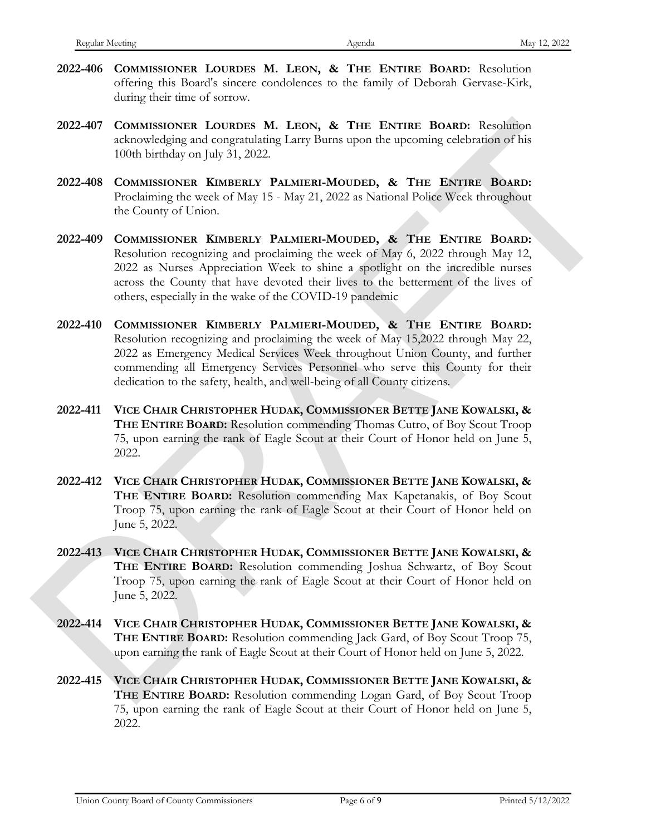- **2022-406 COMMISSIONER LOURDES M. LEON, & THE ENTIRE BOARD:** Resolution offering this Board's sincere condolences to the family of Deborah Gervase-Kirk, during their time of sorrow.
- **2022-407 COMMISSIONER LOURDES M. LEON, & THE ENTIRE BOARD:** Resolution acknowledging and congratulating Larry Burns upon the upcoming celebration of his 100th birthday on July 31, 2022.
- **2022-408 COMMISSIONER KIMBERLY PALMIERI-MOUDED, & THE ENTIRE BOARD:**  Proclaiming the week of May 15 - May 21, 2022 as National Police Week throughout the County of Union.
- **2022-409 COMMISSIONER KIMBERLY PALMIERI-MOUDED, & THE ENTIRE BOARD:**  Resolution recognizing and proclaiming the week of May 6, 2022 through May 12, 2022 as Nurses Appreciation Week to shine a spotlight on the incredible nurses across the County that have devoted their lives to the betterment of the lives of others, especially in the wake of the COVID-19 pandemic
- **2022-410 COMMISSIONER KIMBERLY PALMIERI-MOUDED, & THE ENTIRE BOARD:**  Resolution recognizing and proclaiming the week of May 15,2022 through May 22, 2022 as Emergency Medical Services Week throughout Union County, and further commending all Emergency Services Personnel who serve this County for their dedication to the safety, health, and well-being of all County citizens. 2022 are Consumerosita and the same space of the extract in the solution is the solution of the same space of the same space of the state of the state of the state of the state of the state of the state of the state of th
	- **2022-411 VICE CHAIR CHRISTOPHER HUDAK, COMMISSIONER BETTE JANE KOWALSKI, & THE ENTIRE BOARD:** Resolution commending Thomas Cutro, of Boy Scout Troop 75, upon earning the rank of Eagle Scout at their Court of Honor held on June 5, 2022.
	- **2022-412 VICE CHAIR CHRISTOPHER HUDAK, COMMISSIONER BETTE JANE KOWALSKI, & THE ENTIRE BOARD:** Resolution commending Max Kapetanakis, of Boy Scout Troop 75, upon earning the rank of Eagle Scout at their Court of Honor held on June 5, 2022.
	- **2022-413 VICE CHAIR CHRISTOPHER HUDAK, COMMISSIONER BETTE JANE KOWALSKI, & THE ENTIRE BOARD:** Resolution commending Joshua Schwartz, of Boy Scout Troop 75, upon earning the rank of Eagle Scout at their Court of Honor held on June 5, 2022.
	- **2022-414 VICE CHAIR CHRISTOPHER HUDAK, COMMISSIONER BETTE JANE KOWALSKI, & THE ENTIRE BOARD:** Resolution commending Jack Gard, of Boy Scout Troop 75, upon earning the rank of Eagle Scout at their Court of Honor held on June 5, 2022.
	- **2022-415 VICE CHAIR CHRISTOPHER HUDAK, COMMISSIONER BETTE JANE KOWALSKI, &** THE ENTIRE BOARD: Resolution commending Logan Gard, of Boy Scout Troop 75, upon earning the rank of Eagle Scout at their Court of Honor held on June 5, 2022.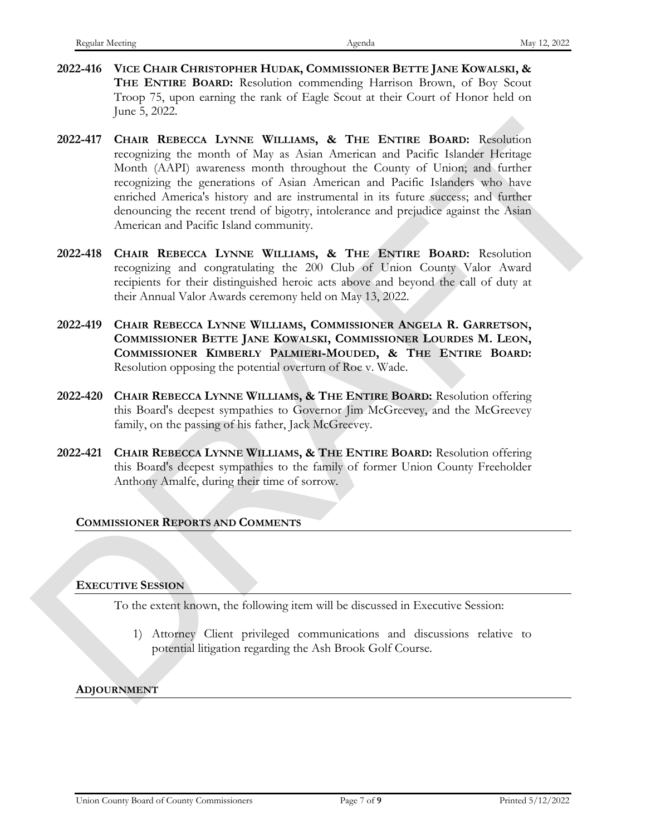- **2022-416 VICE CHAIR CHRISTOPHER HUDAK, COMMISSIONER BETTE JANE KOWALSKI, & THE ENTIRE BOARD:** Resolution commending Harrison Brown, of Boy Scout Troop 75, upon earning the rank of Eagle Scout at their Court of Honor held on June 5, 2022.
- **2022-417 CHAIR REBECCA LYNNE WILLIAMS, & THE ENTIRE BOARD:** Resolution recognizing the month of May as Asian American and Pacific Islander Heritage Month (AAPI) awareness month throughout the County of Union; and further recognizing the generations of Asian American and Pacific Islanders who have enriched America's history and are instrumental in its future success; and further denouncing the recent trend of bigotry, intolerance and prejudice against the Asian American and Pacific Island community. 2022-417 CHAIR REntrick LINNYR WILLIAMS, & THE ENTRE BOMD: Resolution (Mapp as bostn Amelican radio Paris) and Paris (Federal resolution of Mapp as Sian Amelican radio Paris (Federal resolution) (AAP) averages month throu
	- **2022-418 CHAIR REBECCA LYNNE WILLIAMS, & THE ENTIRE BOARD:** Resolution recognizing and congratulating the 200 Club of Union County Valor Award recipients for their distinguished heroic acts above and beyond the call of duty at their Annual Valor Awards ceremony held on May 13, 2022.
	- **2022-419 CHAIR REBECCA LYNNE WILLIAMS, COMMISSIONER ANGELA R. GARRETSON, COMMISSIONER BETTE JANE KOWALSKI, COMMISSIONER LOURDES M. LEON, COMMISSIONER KIMBERLY PALMIERI-MOUDED, & THE ENTIRE BOARD:**  Resolution opposing the potential overturn of Roe v. Wade.
	- **2022-420 CHAIR REBECCA LYNNE WILLIAMS, & THE ENTIRE BOARD:** Resolution offering this Board's deepest sympathies to Governor Jim McGreevey, and the McGreevey family, on the passing of his father, Jack McGreevey.
	- **2022-421 CHAIR REBECCA LYNNE WILLIAMS, & THE ENTIRE BOARD:** Resolution offering this Board's deepest sympathies to the family of former Union County Freeholder Anthony Amalfe, during their time of sorrow.

#### **COMMISSIONER REPORTS AND COMMENTS**

#### **EXECUTIVE SESSION**

To the extent known, the following item will be discussed in Executive Session:

1) Attorney Client privileged communications and discussions relative to potential litigation regarding the Ash Brook Golf Course.

#### **ADJOURNMENT**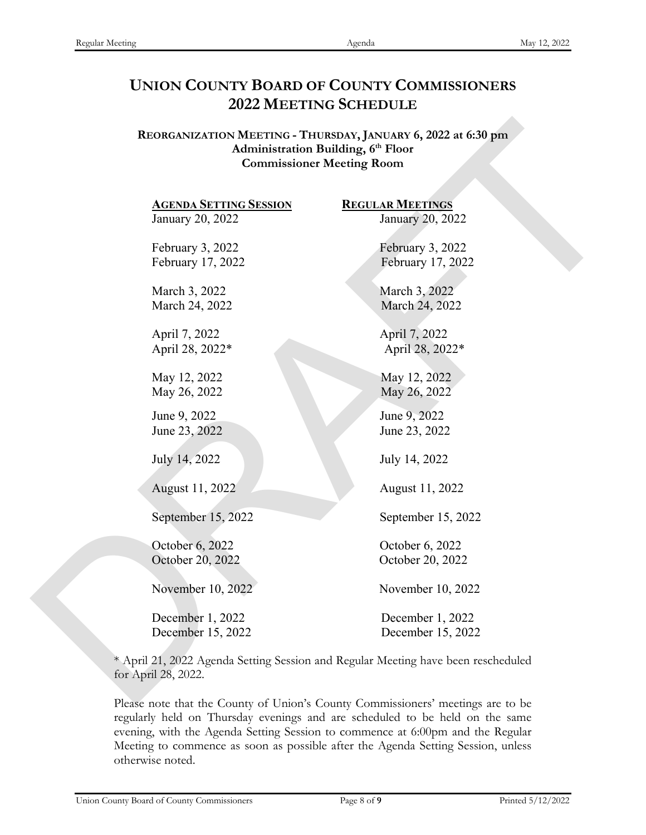# **UNION COUNTY BOARD OF COUNTY COMMISSIONERS 2022 MEETING SCHEDULE**

**REORGANIZATION MEETING - THURSDAY, JANUARY 6, 2022 at 6:30 pm Administration Building, 6th Floor Commissioner Meeting Room**

January 20, 2022 January 20, 2022 February 3, 2022 February 3, 2022 February 17, 2022 February 17, 2022 March 3, 2022 March 3, 2022 March 24, 2022 March 24, 2022 April 7, 2022 April 7, 2022 April 28, 2022\* April 28, 2022\* May 12, 2022 May 12, 2022 May 26, 2022 May 26, 2022 June 9, 2022 June 9, 2022 June 23, 2022 June 23, 2022 July 14, 2022 July 14, 2022 August 11, 2022 August 11, 2022 September 15, 2022 September 15, 2022 October 6, 2022 October 6, 2022 October 20, 2022 October 20, 2022 **REORGANIZATION MEETING** - TIILTREDAY, JANUARY 6, 2022 at 6:30 pm<br>
Activity and Commissioner Meeting (P Floor<br>
Commissioner Meeting Room<br>  $20, 2022$ <br>
February 3,01, 2022<br>
February 1, 2022<br>
Herbarry 3, 2022<br>
March 3, 2022<br>

December 1, 2022 December 1, 2022 December 15, 2022 December 15, 2022

**AGENDA SETTING SESSION REGULAR MEETINGS**

November 10, 2022 November 10, 2022

\* April 21, 2022 Agenda Setting Session and Regular Meeting have been rescheduled for April 28, 2022.

Please note that the County of Union's County Commissioners' meetings are to be regularly held on Thursday evenings and are scheduled to be held on the same evening, with the Agenda Setting Session to commence at 6:00pm and the Regular Meeting to commence as soon as possible after the Agenda Setting Session, unless otherwise noted.